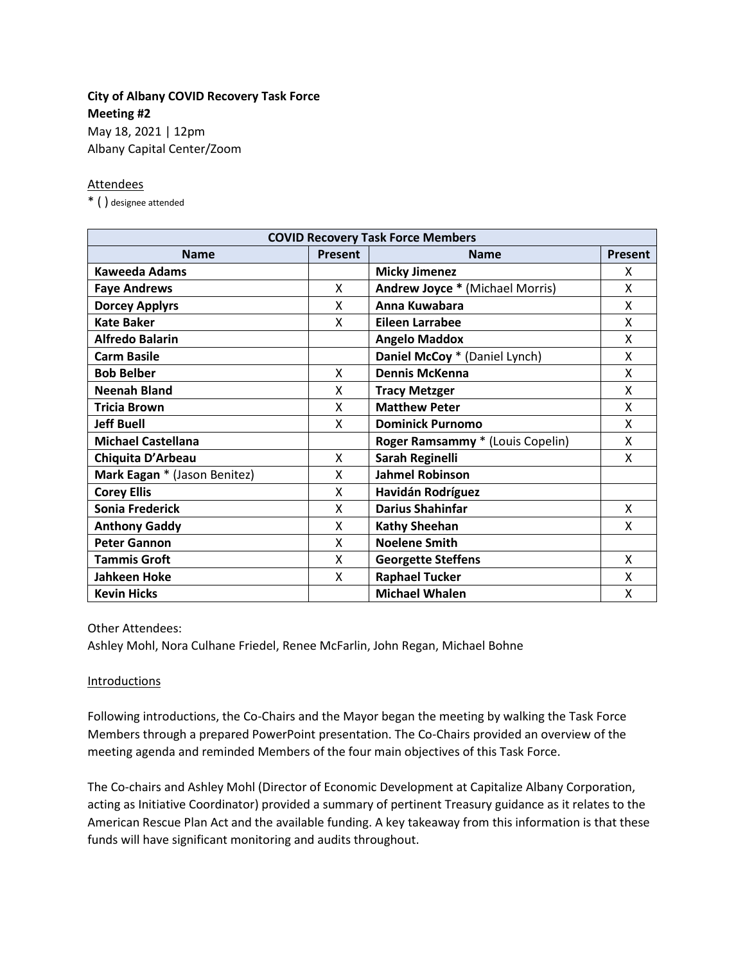# **City of Albany COVID Recovery Task Force Meeting #2**

May 18, 2021 | 12pm Albany Capital Center/Zoom

### Attendees

\* ( ) designee attended

| <b>COVID Recovery Task Force Members</b> |                |                                        |         |
|------------------------------------------|----------------|----------------------------------------|---------|
| <b>Name</b>                              | <b>Present</b> | <b>Name</b>                            | Present |
| <b>Kaweeda Adams</b>                     |                | <b>Micky Jimenez</b>                   | x       |
| <b>Faye Andrews</b>                      | X              | <b>Andrew Joyce * (Michael Morris)</b> | X       |
| <b>Dorcey Applyrs</b>                    | X              | Anna Kuwabara                          | X       |
| <b>Kate Baker</b>                        | X              | <b>Eileen Larrabee</b>                 | X       |
| <b>Alfredo Balarin</b>                   |                | <b>Angelo Maddox</b>                   | X       |
| <b>Carm Basile</b>                       |                | Daniel McCoy * (Daniel Lynch)          | X       |
| <b>Bob Belber</b>                        | X              | <b>Dennis McKenna</b>                  | X       |
| <b>Neenah Bland</b>                      | X              | <b>Tracy Metzger</b>                   | X       |
| <b>Tricia Brown</b>                      | X              | <b>Matthew Peter</b>                   | X       |
| <b>Jeff Buell</b>                        | X              | <b>Dominick Purnomo</b>                | X       |
| <b>Michael Castellana</b>                |                | Roger Ramsammy * (Louis Copelin)       | X       |
| Chiquita D'Arbeau                        | X              | Sarah Reginelli                        | X       |
| Mark Eagan * (Jason Benitez)             | X              | <b>Jahmel Robinson</b>                 |         |
| <b>Corey Ellis</b>                       | X              | Havidán Rodríguez                      |         |
| Sonia Frederick                          | X              | <b>Darius Shahinfar</b>                | X       |
| <b>Anthony Gaddy</b>                     | X              | <b>Kathy Sheehan</b>                   | X       |
| <b>Peter Gannon</b>                      | x              | <b>Noelene Smith</b>                   |         |
| <b>Tammis Groft</b>                      | X              | <b>Georgette Steffens</b>              | X       |
| <b>Jahkeen Hoke</b>                      | X              | <b>Raphael Tucker</b>                  | x       |
| <b>Kevin Hicks</b>                       |                | <b>Michael Whalen</b>                  | X       |

Other Attendees:

Ashley Mohl, Nora Culhane Friedel, Renee McFarlin, John Regan, Michael Bohne

#### **Introductions**

Following introductions, the Co-Chairs and the Mayor began the meeting by walking the Task Force Members through a prepared PowerPoint presentation. The Co-Chairs provided an overview of the meeting agenda and reminded Members of the four main objectives of this Task Force.

The Co-chairs and Ashley Mohl (Director of Economic Development at Capitalize Albany Corporation, acting as Initiative Coordinator) provided a summary of pertinent Treasury guidance as it relates to the American Rescue Plan Act and the available funding. A key takeaway from this information is that these funds will have significant monitoring and audits throughout.